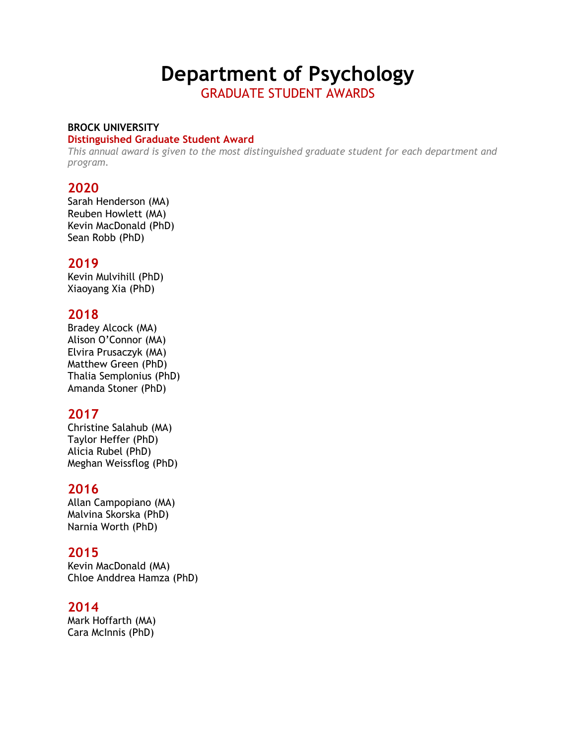# **Department of Psychology**

GRADUATE STUDENT AWARDS

#### **BROCK UNIVERSITY**

#### **Distinguished Graduate Student Award**

*This annual award is given to the most distinguished graduate student for each department and program.*

# **2020**

Sarah Henderson (MA) Reuben Howlett (MA) Kevin MacDonald (PhD) Sean Robb (PhD)

#### **2019**

Kevin Mulvihill (PhD) Xiaoyang Xia (PhD)

# **2018**

Bradey Alcock (MA) Alison O'Connor (MA) Elvira Prusaczyk (MA) Matthew Green (PhD) Thalia Semplonius (PhD) Amanda Stoner (PhD)

# **2017**

Christine Salahub (MA) Taylor Heffer (PhD) Alicia Rubel (PhD) Meghan Weissflog (PhD)

# **2016**

Allan Campopiano (MA) Malvina Skorska (PhD) Narnia Worth (PhD)

# **2015**

Kevin MacDonald (MA) Chloe Anddrea Hamza (PhD)

#### **2014**

Mark Hoffarth (MA) Cara McInnis (PhD)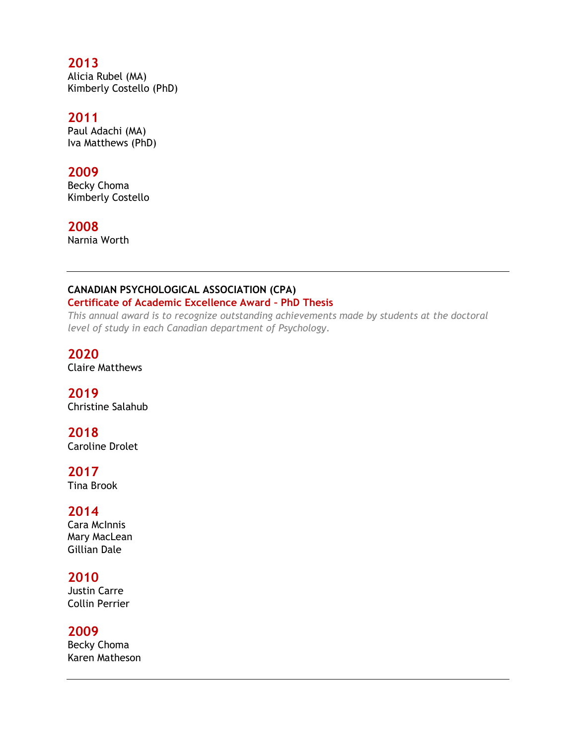# **2013**

Alicia Rubel (MA) Kimberly Costello (PhD)

#### **2011**

Paul Adachi (MA) Iva Matthews (PhD)

#### **2009**

Becky Choma Kimberly Costello

#### **2008**

Narnia Worth

#### **CANADIAN PSYCHOLOGICAL ASSOCIATION (CPA)**

#### **Certificate of Academic Excellence Award – PhD Thesis**

*This annual award is to recognize outstanding achievements made by students at the doctoral level of study in each Canadian department of Psychology.*

#### **2020**

Claire Matthews

# **2019**

Christine Salahub

#### **2018**

Caroline Drolet

#### **2017**

Tina Brook

#### **2014**

Cara McInnis Mary MacLean Gillian Dale

#### **2010**

Justin Carre Collin Perrier

#### **2009**

Becky Choma Karen Matheson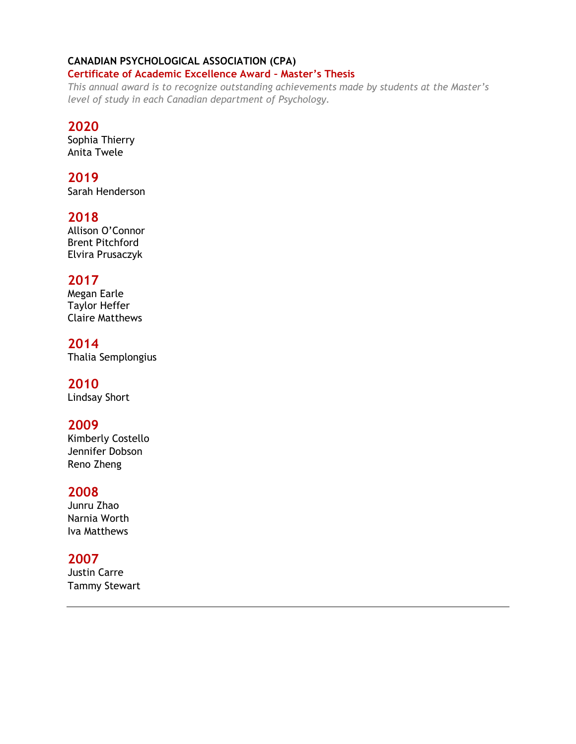# **CANADIAN PSYCHOLOGICAL ASSOCIATION (CPA)**

#### **Certificate of Academic Excellence Award – Master's Thesis**

*This annual award is to recognize outstanding achievements made by students at the Master's level of study in each Canadian department of Psychology.*

# **2020**

Sophia Thierry Anita Twele

# **2019**

Sarah Henderson

# **2018**

Allison O'Connor Brent Pitchford Elvira Prusaczyk

# **2017**

Megan Earle Taylor Heffer Claire Matthews

**2014** Thalia Semplongius

# **2010**

Lindsay Short

# **2009**

Kimberly Costello Jennifer Dobson Reno Zheng

# **2008**

Junru Zhao Narnia Worth Iva Matthews

# **2007**

Justin Carre Tammy Stewart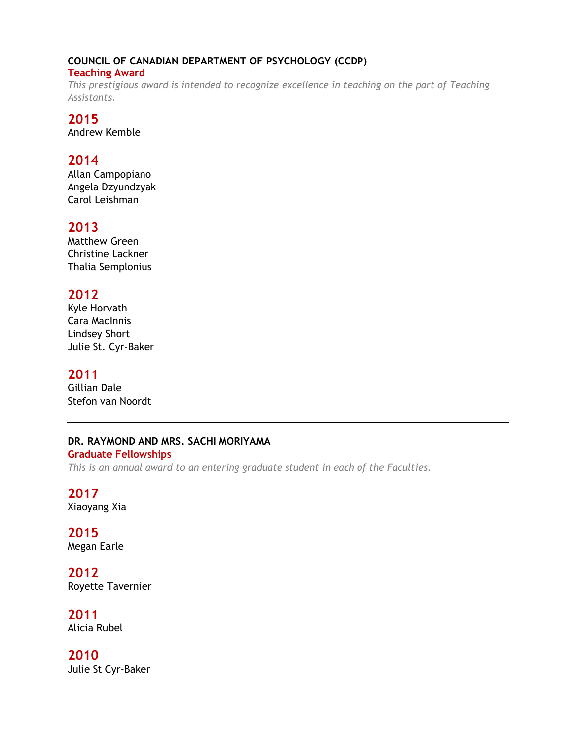# **COUNCIL OF CANADIAN DEPARTMENT OF PSYCHOLOGY (CCDP)**

#### **Teaching Award**

*This prestigious award is intended to recognize excellence in teaching on the part of Teaching Assistants.*

# **2015**

Andrew Kemble

# **2014**

Allan Campopiano Angela Dzyundzyak Carol Leishman

# **2013**

Matthew Green Christine Lackner Thalia Semplonius

# **2012**

Kyle Horvath Cara MacInnis Lindsey Short Julie St. Cyr-Baker

# **2011**

Gillian Dale Stefon van Noordt

#### **DR. RAYMOND AND MRS. SACHI MORIYAMA**

**Graduate Fellowships** *This is an annual award to an entering graduate student in each of the Faculties.*

# **2017**

Xiaoyang Xia

#### **2015** Megan Earle

**2012** Royette Tavernier

#### **2011** Alicia Rubel

**2010** Julie St Cyr-Baker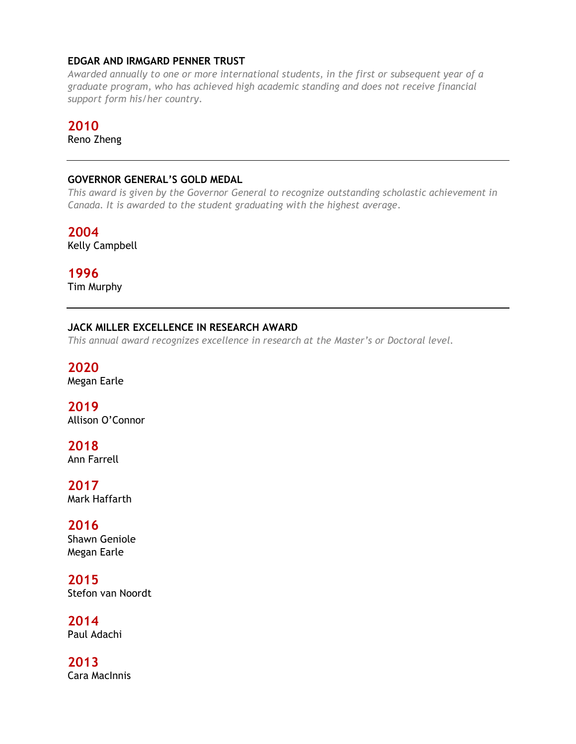#### **EDGAR AND IRMGARD PENNER TRUST**

*Awarded annually to one or more international students, in the first or subsequent year of a graduate program, who has achieved high academic standing and does not receive financial support form his/her country.*

#### **2010**

Reno Zheng

#### **GOVERNOR GENERAL'S GOLD MEDAL**

*This award is given by the Governor General to recognize outstanding scholastic achievement in Canada. It is awarded to the student graduating with the highest average.*

**2004** Kelly Campbell

**1996** Tim Murphy

#### **JACK MILLER EXCELLENCE IN RESEARCH AWARD**

*This annual award recognizes excellence in research at the Master's or Doctoral level.*

**2020** Megan Earle

**2019** Allison O'Connor

**2018** Ann Farrell

**2017** Mark Haffarth

**2016** Shawn Geniole Megan Earle

**2015** Stefon van Noordt

**2014** Paul Adachi

**2013** Cara MacInnis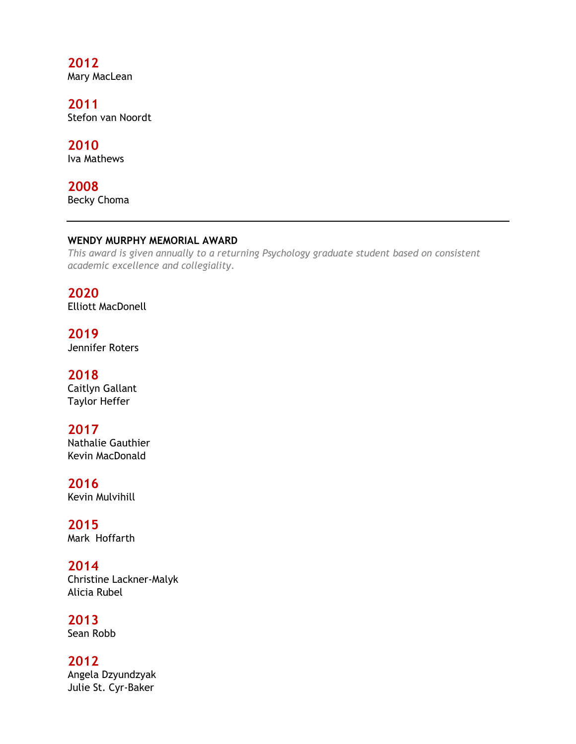**2012** Mary MacLean

**2011** Stefon van Noordt

**2010** Iva Mathews

**2008** Becky Choma

#### **WENDY MURPHY MEMORIAL AWARD**

*This award is given annually to a returning Psychology graduate student based on consistent academic excellence and collegiality.*

**2020** Elliott MacDonell

**2019** Jennifer Roters

**2018** Caitlyn Gallant Taylor Heffer

**2017** Nathalie Gauthier Kevin MacDonald

**2016** Kevin Mulvihill

**2015** Mark Hoffarth

**2014** Christine Lackner-Malyk Alicia Rubel

**2013** Sean Robb

**2012** Angela Dzyundzyak Julie St. Cyr-Baker